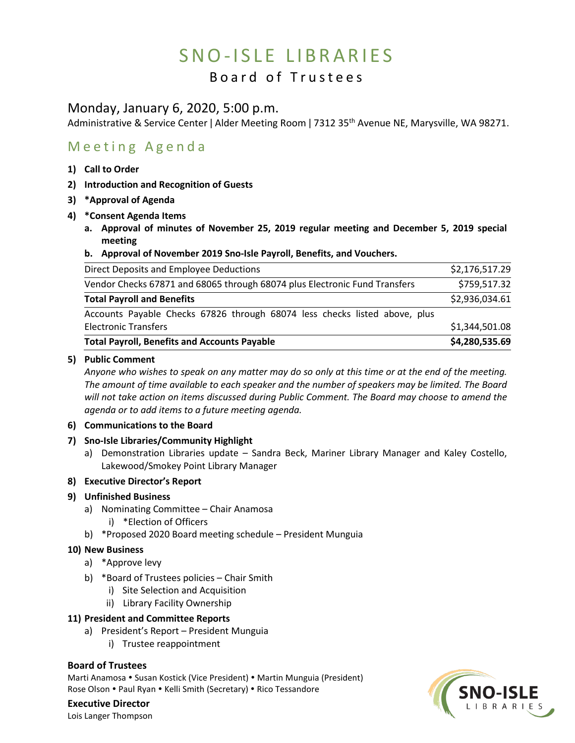# SNO-ISLE LIBRARIES

## Board of Trustees

### Monday, January 6, 2020, 5:00 p.m.

Administrative & Service Center | Alder Meeting Room | 7312 35<sup>th</sup> Avenue NE, Marysville, WA 98271.

## Meeting Agenda

- **1) Call to Order**
- **2) Introduction and Recognition of Guests**
- **3) \*Approval of Agenda**
- **4) \*Consent Agenda Items**
	- **a. Approval of minutes of November 25, 2019 regular meeting and December 5, 2019 special meeting**
	- **b. Approval of November 2019 Sno-Isle Payroll, Benefits, and Vouchers.**

| <b>Total Payroll, Benefits and Accounts Payable</b>                        | \$4,280,535.69 |
|----------------------------------------------------------------------------|----------------|
| <b>Electronic Transfers</b>                                                | \$1,344,501.08 |
| Accounts Payable Checks 67826 through 68074 less checks listed above, plus |                |
| <b>Total Payroll and Benefits</b>                                          | \$2,936,034.61 |
| Vendor Checks 67871 and 68065 through 68074 plus Electronic Fund Transfers | \$759,517.32   |
| Direct Deposits and Employee Deductions                                    | \$2,176,517.29 |

#### **5) Public Comment**

*Anyone who wishes to speak on any matter may do so only at this time or at the end of the meeting. The amount of time available to each speaker and the number of speakers may be limited. The Board will not take action on items discussed during Public Comment. The Board may choose to amend the agenda or to add items to a future meeting agenda.* 

#### **6) Communications to the Board**

- **7) Sno-Isle Libraries/Community Highlight**
	- a) Demonstration Libraries update Sandra Beck, Mariner Library Manager and Kaley Costello, Lakewood/Smokey Point Library Manager

#### **8) Executive Director's Report**

#### **9) Unfinished Business**

- a) Nominating Committee Chair Anamosa
	- i) \*Election of Officers
- b) \*Proposed 2020 Board meeting schedule President Munguia

#### **10) New Business**

- a) \*Approve levy
- b) \*Board of Trustees policies Chair Smith
	- i) Site Selection and Acquisition
	- ii) Library Facility Ownership

#### **11) President and Committee Reports**

- a) President's Report President Munguia
	- i) Trustee reappointment

#### **Board of Trustees**

Marti Anamosa • Susan Kostick (Vice President) • Martin Munguia (President) Rose Olson . Paul Ryan . Kelli Smith (Secretary) . Rico Tessandore

## **Executive Director**

Lois Langer Thompson